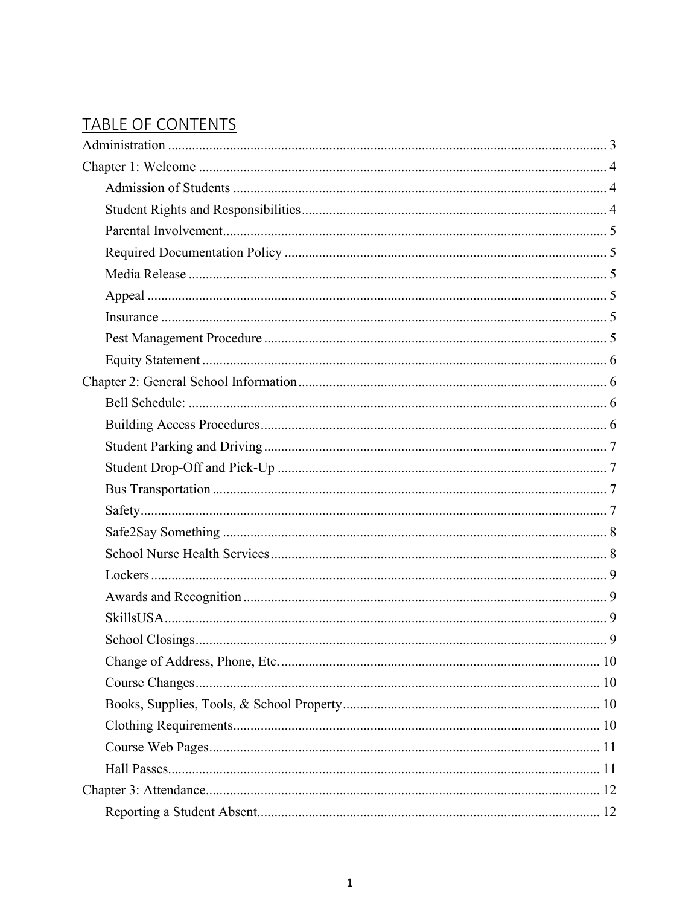# TABLE OF CONTENTS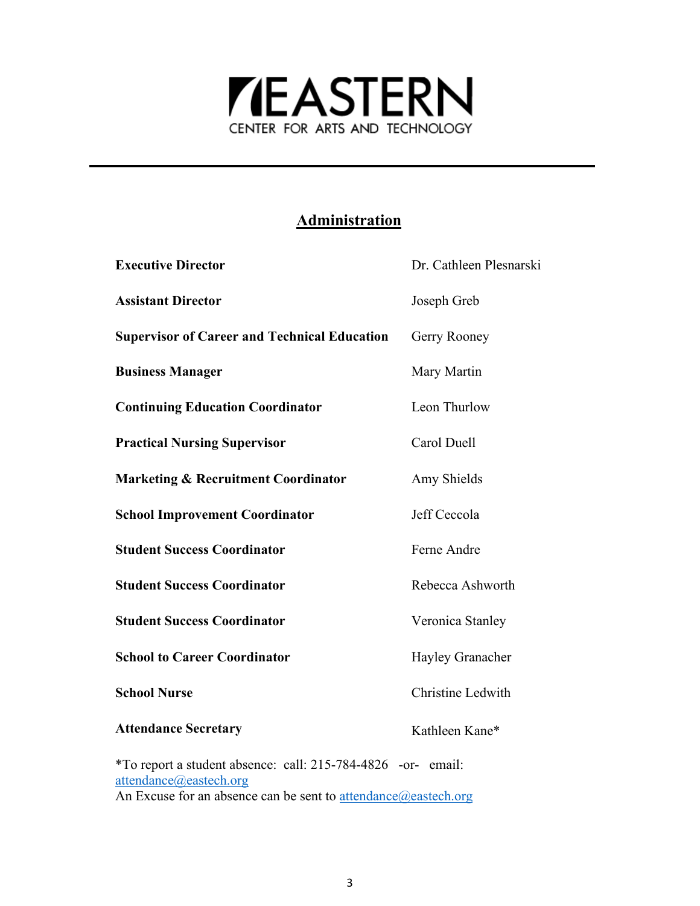

## **Administration**

<span id="page-2-0"></span>

| <b>Executive Director</b>                                    | Dr. Cathleen Plesnarski |
|--------------------------------------------------------------|-------------------------|
| <b>Assistant Director</b>                                    | Joseph Greb             |
| <b>Supervisor of Career and Technical Education</b>          | Gerry Rooney            |
| <b>Business Manager</b>                                      | Mary Martin             |
| <b>Continuing Education Coordinator</b>                      | Leon Thurlow            |
| <b>Practical Nursing Supervisor</b>                          | Carol Duell             |
| <b>Marketing &amp; Recruitment Coordinator</b>               | Amy Shields             |
| <b>School Improvement Coordinator</b>                        | Jeff Ceccola            |
| <b>Student Success Coordinator</b>                           | Ferne Andre             |
| <b>Student Success Coordinator</b>                           | Rebecca Ashworth        |
| <b>Student Success Coordinator</b>                           | Veronica Stanley        |
| <b>School to Career Coordinator</b>                          | Hayley Granacher        |
| <b>School Nurse</b>                                          | Christine Ledwith       |
| <b>Attendance Secretary</b>                                  | Kathleen Kane*          |
| *To report a student absence: call: 215-784-4826 -or- email: |                         |

[attendance@eastech.org](mailto:attendance@eastech.org) An Excuse for an absence can be sent to [attendance@eastech.org](mailto:attendance@eastech.org)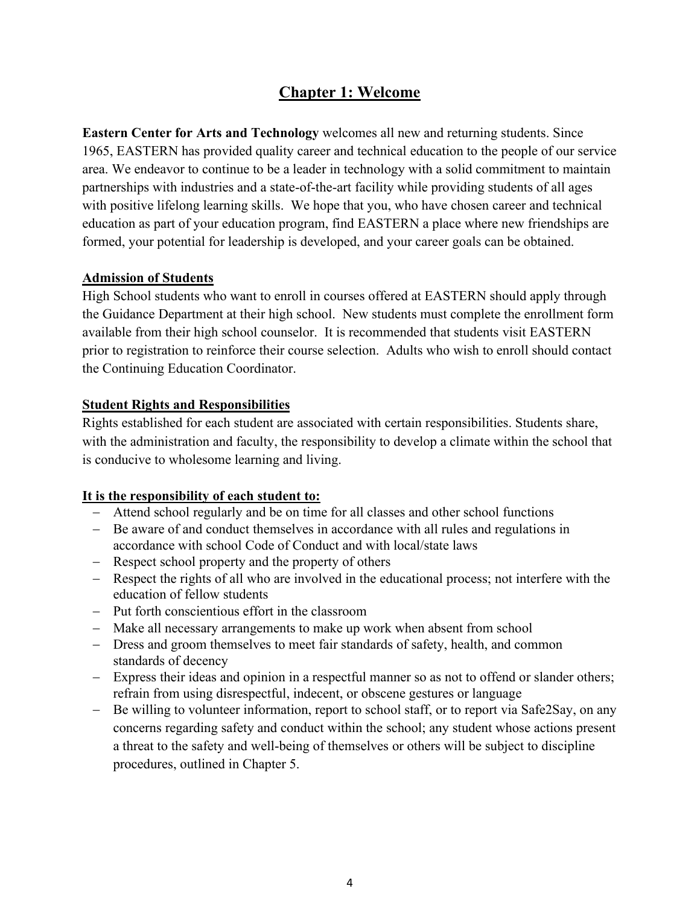## **Chapter 1: Welcome**

<span id="page-3-0"></span>**Eastern Center for Arts and Technology** welcomes all new and returning students. Since 1965, EASTERN has provided quality career and technical education to the people of our service area. We endeavor to continue to be a leader in technology with a solid commitment to maintain partnerships with industries and a state-of-the-art facility while providing students of all ages with positive lifelong learning skills. We hope that you, who have chosen career and technical education as part of your education program, find EASTERN a place where new friendships are formed, your potential for leadership is developed, and your career goals can be obtained.

#### <span id="page-3-1"></span>**Admission of Students**

High School students who want to enroll in courses offered at EASTERN should apply through the Guidance Department at their high school. New students must complete the enrollment form available from their high school counselor. It is recommended that students visit EASTERN prior to registration to reinforce their course selection. Adults who wish to enroll should contact the Continuing Education Coordinator.

#### <span id="page-3-2"></span>**Student Rights and Responsibilities**

Rights established for each student are associated with certain responsibilities. Students share, with the administration and faculty, the responsibility to develop a climate within the school that is conducive to wholesome learning and living.

#### **It is the responsibility of each student to:**

- − Attend school regularly and be on time for all classes and other school functions
- − Be aware of and conduct themselves in accordance with all rules and regulations in accordance with school Code of Conduct and with local/state laws
- − Respect school property and the property of others
- − Respect the rights of all who are involved in the educational process; not interfere with the education of fellow students
- − Put forth conscientious effort in the classroom
- − Make all necessary arrangements to make up work when absent from school
- − Dress and groom themselves to meet fair standards of safety, health, and common standards of decency
- − Express their ideas and opinion in a respectful manner so as not to offend or slander others; refrain from using disrespectful, indecent, or obscene gestures or language
- − Be willing to volunteer information, report to school staff, or to report via Safe2Say, on any concerns regarding safety and conduct within the school; any student whose actions present a threat to the safety and well-being of themselves or others will be subject to discipline procedures, outlined in Chapter 5.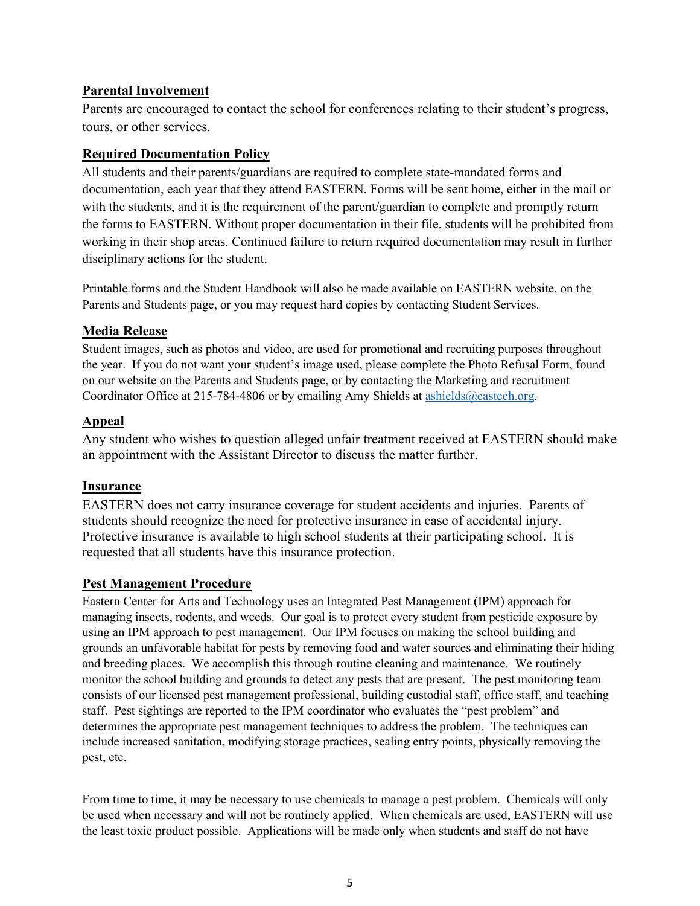#### <span id="page-4-0"></span>**Parental Involvement**

Parents are encouraged to contact the school for conferences relating to their student's progress, tours, or other services.

#### <span id="page-4-1"></span>**Required Documentation Policy**

All students and their parents/guardians are required to complete state-mandated forms and documentation, each year that they attend EASTERN. Forms will be sent home, either in the mail or with the students, and it is the requirement of the parent/guardian to complete and promptly return the forms to EASTERN. Without proper documentation in their file, students will be prohibited from working in their shop areas. Continued failure to return required documentation may result in further disciplinary actions for the student.

Printable forms and the Student Handbook will also be made available on EASTERN website, on the Parents and Students page, or you may request hard copies by contacting Student Services.

#### <span id="page-4-2"></span>**Media Release**

Student images, such as photos and video, are used for promotional and recruiting purposes throughout the year. If you do not want your student's image used, please complete the Photo Refusal Form, found on our website on the Parents and Students page, or by contacting the Marketing and recruitment Coordinator Office at 215-784-4806 or by emailing Amy Shields at [ashields@eastech.org.](mailto:ashields@eastech.org)

#### <span id="page-4-3"></span>**Appeal**

Any student who wishes to question alleged unfair treatment received at EASTERN should make an appointment with the Assistant Director to discuss the matter further.

#### <span id="page-4-4"></span>**Insurance**

EASTERN does not carry insurance coverage for student accidents and injuries. Parents of students should recognize the need for protective insurance in case of accidental injury. Protective insurance is available to high school students at their participating school. It is requested that all students have this insurance protection.

#### <span id="page-4-5"></span>**Pest Management Procedure**

Eastern Center for Arts and Technology uses an Integrated Pest Management (IPM) approach for managing insects, rodents, and weeds. Our goal is to protect every student from pesticide exposure by using an IPM approach to pest management. Our IPM focuses on making the school building and grounds an unfavorable habitat for pests by removing food and water sources and eliminating their hiding and breeding places. We accomplish this through routine cleaning and maintenance. We routinely monitor the school building and grounds to detect any pests that are present. The pest monitoring team consists of our licensed pest management professional, building custodial staff, office staff, and teaching staff. Pest sightings are reported to the IPM coordinator who evaluates the "pest problem" and determines the appropriate pest management techniques to address the problem. The techniques can include increased sanitation, modifying storage practices, sealing entry points, physically removing the pest, etc.

From time to time, it may be necessary to use chemicals to manage a pest problem. Chemicals will only be used when necessary and will not be routinely applied. When chemicals are used, EASTERN will use the least toxic product possible. Applications will be made only when students and staff do not have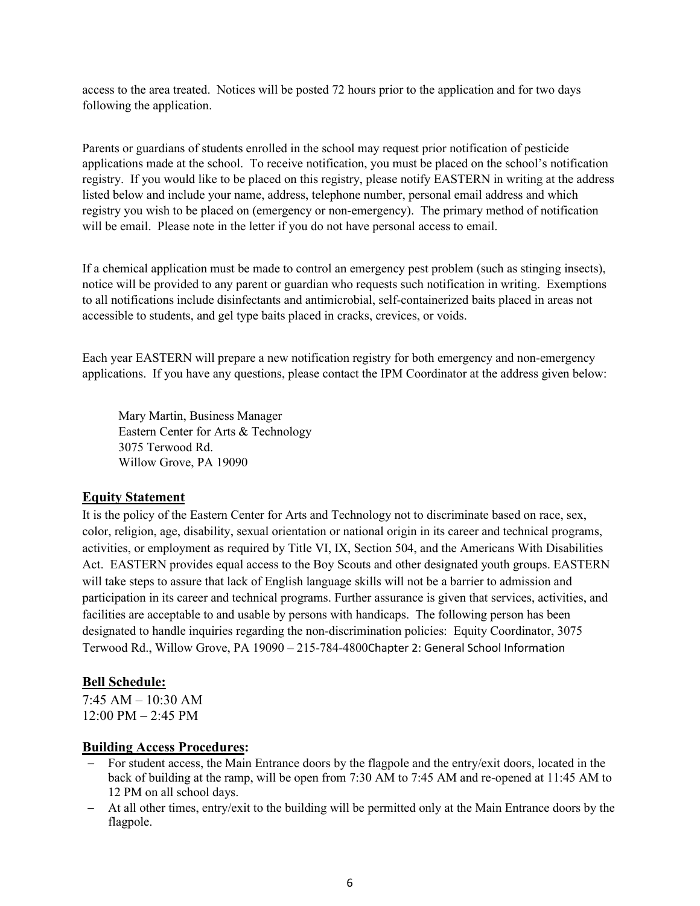access to the area treated. Notices will be posted 72 hours prior to the application and for two days following the application.

Parents or guardians of students enrolled in the school may request prior notification of pesticide applications made at the school. To receive notification, you must be placed on the school's notification registry. If you would like to be placed on this registry, please notify EASTERN in writing at the address listed below and include your name, address, telephone number, personal email address and which registry you wish to be placed on (emergency or non-emergency). The primary method of notification will be email. Please note in the letter if you do not have personal access to email.

If a chemical application must be made to control an emergency pest problem (such as stinging insects), notice will be provided to any parent or guardian who requests such notification in writing. Exemptions to all notifications include disinfectants and antimicrobial, self-containerized baits placed in areas not accessible to students, and gel type baits placed in cracks, crevices, or voids.

Each year EASTERN will prepare a new notification registry for both emergency and non-emergency applications. If you have any questions, please contact the IPM Coordinator at the address given below:

Mary Martin, Business Manager Eastern Center for Arts & Technology 3075 Terwood Rd. Willow Grove, PA 19090

#### <span id="page-5-0"></span>**Equity Statement**

It is the policy of the Eastern Center for Arts and Technology not to discriminate based on race, sex, color, religion, age, disability, sexual orientation or national origin in its career and technical programs, activities, or employment as required by Title VI, IX, Section 504, and the Americans With Disabilities Act. EASTERN provides equal access to the Boy Scouts and other designated youth groups. EASTERN will take steps to assure that lack of English language skills will not be a barrier to admission and participation in its career and technical programs. Further assurance is given that services, activities, and facilities are acceptable to and usable by persons with handicaps. The following person has been designated to handle inquiries regarding the non-discrimination policies: Equity Coordinator, 3075 Terwood Rd., Willow Grove, PA 19090 – 215-784-4800Chapter 2: General School Information

#### <span id="page-5-2"></span><span id="page-5-1"></span>**Bell Schedule:**

7:45 AM – 10:30 AM 12:00 PM – 2:45 PM

#### <span id="page-5-3"></span>**Building Access Procedures:**

- − For student access, the Main Entrance doors by the flagpole and the entry/exit doors, located in the back of building at the ramp, will be open from 7:30 AM to 7:45 AM and re-opened at 11:45 AM to 12 PM on all school days.
- − At all other times, entry/exit to the building will be permitted only at the Main Entrance doors by the flagpole.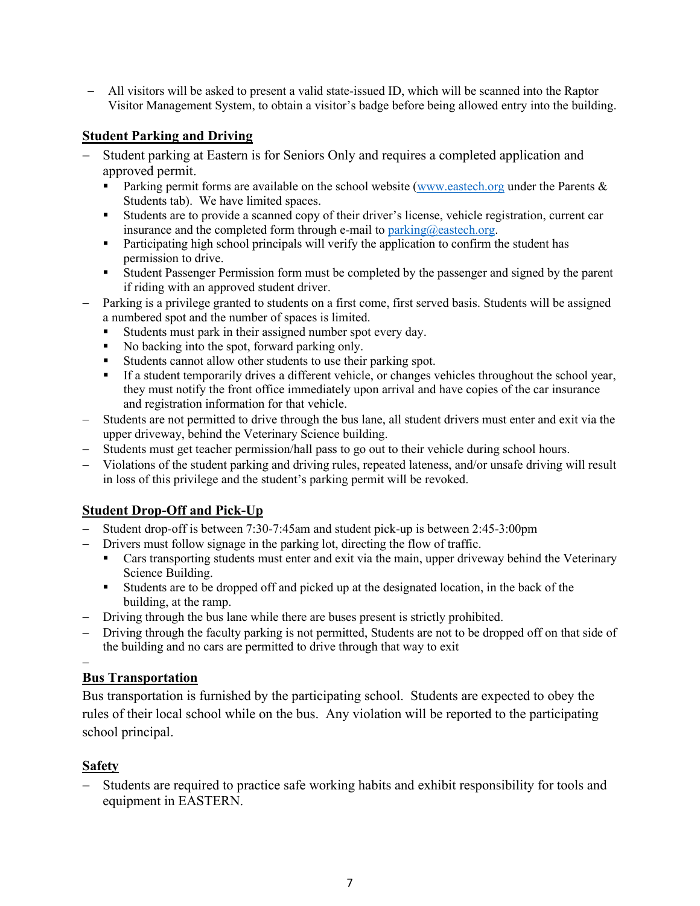− All visitors will be asked to present a valid state-issued ID, which will be scanned into the Raptor Visitor Management System, to obtain a visitor's badge before being allowed entry into the building.

#### <span id="page-6-0"></span>**Student Parking and Driving**

- − Student parking at Eastern is for Seniors Only and requires a completed application and approved permit.
	- Parking permit forms are available on the school website [\(www.eastech.org](http://www.eastech.org/) under the Parents & Students tab). We have limited spaces.
	- Students are to provide a scanned copy of their driver's license, vehicle registration, current car insurance and the completed form through e-mail to [parking@eastech.org.](mailto:parking@eastech.org)
	- Participating high school principals will verify the application to confirm the student has permission to drive.
	- Student Passenger Permission form must be completed by the passenger and signed by the parent if riding with an approved student driver.
- − Parking is a privilege granted to students on a first come, first served basis. Students will be assigned a numbered spot and the number of spaces is limited.
	- Students must park in their assigned number spot every day.
	- No backing into the spot, forward parking only.
	- Students cannot allow other students to use their parking spot.
	- If a student temporarily drives a different vehicle, or changes vehicles throughout the school year, they must notify the front office immediately upon arrival and have copies of the car insurance and registration information for that vehicle.
- Students are not permitted to drive through the bus lane, all student drivers must enter and exit via the upper driveway, behind the Veterinary Science building.
- − Students must get teacher permission/hall pass to go out to their vehicle during school hours.
- − Violations of the student parking and driving rules, repeated lateness, and/or unsafe driving will result in loss of this privilege and the student's parking permit will be revoked.

#### <span id="page-6-1"></span>**Student Drop-Off and Pick-Up**

- − Student drop-off is between 7:30-7:45am and student pick-up is between 2:45-3:00pm
- − Drivers must follow signage in the parking lot, directing the flow of traffic.
	- Cars transporting students must enter and exit via the main, upper driveway behind the Veterinary Science Building.
	- Students are to be dropped off and picked up at the designated location, in the back of the building, at the ramp.
- − Driving through the bus lane while there are buses present is strictly prohibited.
- − Driving through the faculty parking is not permitted, Students are not to be dropped off on that side of the building and no cars are permitted to drive through that way to exit

#### <span id="page-6-2"></span>− **Bus Transportation**

Bus transportation is furnished by the participating school. Students are expected to obey the rules of their local school while on the bus. Any violation will be reported to the participating school principal.

#### <span id="page-6-3"></span>**Safety**

Students are required to practice safe working habits and exhibit responsibility for tools and equipment in EASTERN.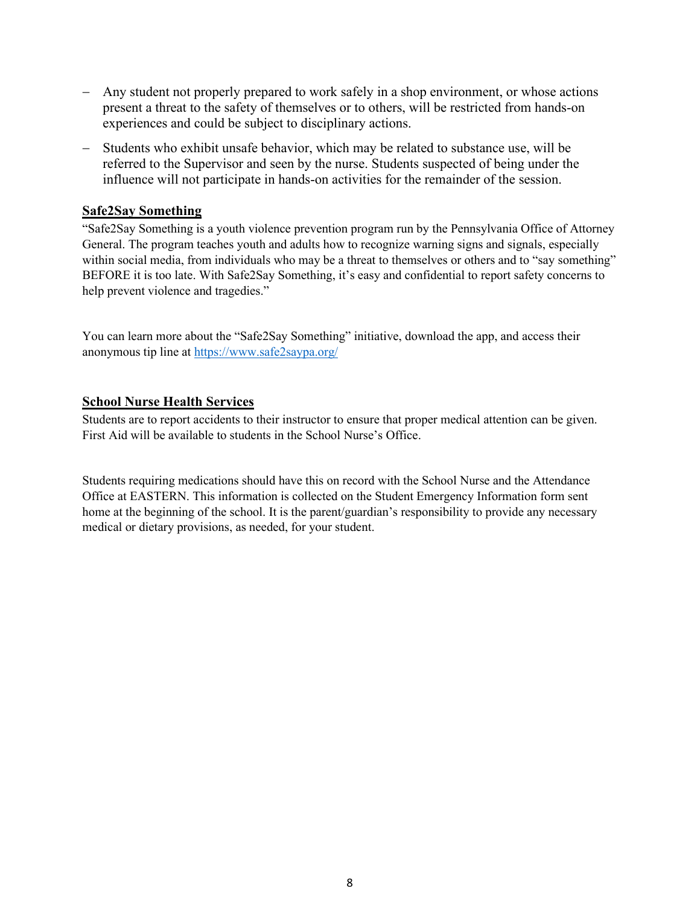- Any student not properly prepared to work safely in a shop environment, or whose actions present a threat to the safety of themselves or to others, will be restricted from hands-on experiences and could be subject to disciplinary actions.
- − Students who exhibit unsafe behavior, which may be related to substance use, will be referred to the Supervisor and seen by the nurse. Students suspected of being under the influence will not participate in hands-on activities for the remainder of the session.

#### <span id="page-7-0"></span>**Safe2Say Something**

"Safe2Say Something is a youth violence prevention program run by the Pennsylvania Office of Attorney General. The program teaches youth and adults how to recognize warning signs and signals, especially within social media, from individuals who may be a threat to themselves or others and to "say something" BEFORE it is too late. With Safe2Say Something, it's easy and confidential to report safety concerns to help prevent violence and tragedies."

You can learn more about the "Safe2Say Something" initiative, download the app, and access their anonymous tip line at<https://www.safe2saypa.org/>

#### <span id="page-7-1"></span>**School Nurse Health Services**

Students are to report accidents to their instructor to ensure that proper medical attention can be given. First Aid will be available to students in the School Nurse's Office.

Students requiring medications should have this on record with the School Nurse and the Attendance Office at EASTERN. This information is collected on the Student Emergency Information form sent home at the beginning of the school. It is the parent/guardian's responsibility to provide any necessary medical or dietary provisions, as needed, for your student.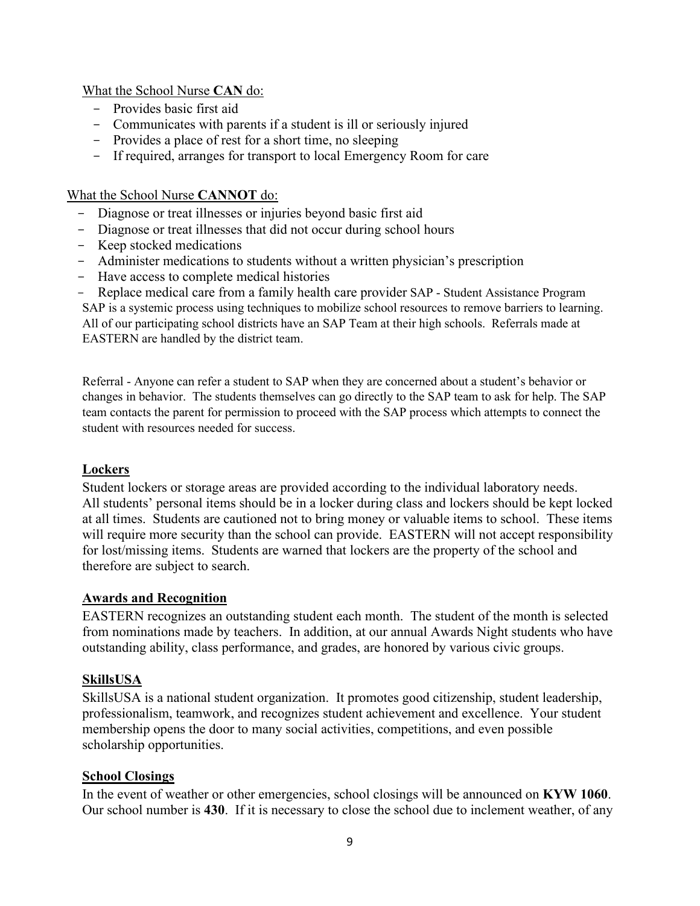What the School Nurse **CAN** do:

- Provides basic first aid
- Communicates with parents if a student is ill or seriously injured
- Provides a place of rest for a short time, no sleeping
- If required, arranges for transport to local Emergency Room for care

#### What the School Nurse **CANNOT** do:

- Diagnose or treat illnesses or injuries beyond basic first aid
- Diagnose or treat illnesses that did not occur during school hours
- Keep stocked medications
- Administer medications to students without a written physician's prescription
- Have access to complete medical histories
- Replace medical care from a family health care provider SAP Student Assistance Program

SAP is a systemic process using techniques to mobilize school resources to remove barriers to learning. All of our participating school districts have an SAP Team at their high schools. Referrals made at EASTERN are handled by the district team.

Referral - Anyone can refer a student to SAP when they are concerned about a student's behavior or changes in behavior. The students themselves can go directly to the SAP team to ask for help. The SAP team contacts the parent for permission to proceed with the SAP process which attempts to connect the student with resources needed for success.

#### <span id="page-8-0"></span>**Lockers**

Student lockers or storage areas are provided according to the individual laboratory needs. All students' personal items should be in a locker during class and lockers should be kept locked at all times. Students are cautioned not to bring money or valuable items to school. These items will require more security than the school can provide. EASTERN will not accept responsibility for lost/missing items. Students are warned that lockers are the property of the school and therefore are subject to search.

#### <span id="page-8-1"></span>**Awards and Recognition**

EASTERN recognizes an outstanding student each month. The student of the month is selected from nominations made by teachers. In addition, at our annual Awards Night students who have outstanding ability, class performance, and grades, are honored by various civic groups.

#### <span id="page-8-2"></span>**SkillsUSA**

SkillsUSA is a national student organization. It promotes good citizenship, student leadership, professionalism, teamwork, and recognizes student achievement and excellence. Your student membership opens the door to many social activities, competitions, and even possible scholarship opportunities.

#### <span id="page-8-3"></span>**School Closings**

In the event of weather or other emergencies, school closings will be announced on **KYW 1060**. Our school number is **430**. If it is necessary to close the school due to inclement weather, of any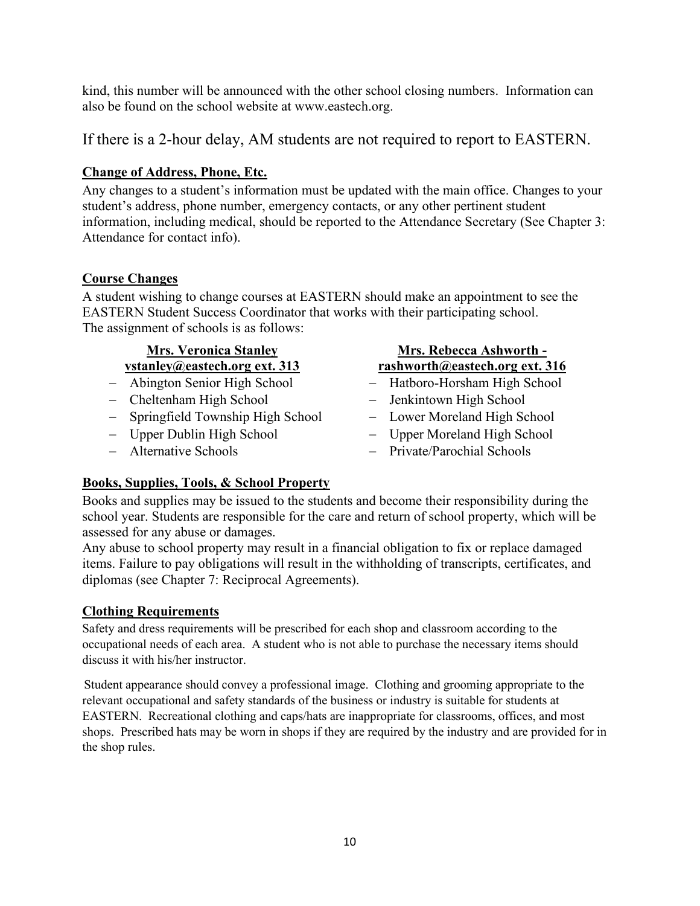kind, this number will be announced with the other school closing numbers. Information can also be found on the school website at www.eastech.org.

If there is a 2-hour delay, AM students are not required to report to EASTERN.

## <span id="page-9-0"></span>**Change of Address, Phone, Etc.**

Any changes to a student's information must be updated with the main office. Changes to your student's address, phone number, emergency contacts, or any other pertinent student information, including medical, should be reported to the Attendance Secretary (See Chapter 3: Attendance for contact info).

## <span id="page-9-1"></span>**Course Changes**

A student wishing to change courses at EASTERN should make an appointment to see the EASTERN Student Success Coordinator that works with their participating school. The assignment of schools is as follows:

## **Mrs. Veronica Stanley vstanley@eastech.org ext. 313**

- 
- − Cheltenham High School − Jenkintown High School
- − Springfield Township High School − Lower Moreland High School
- 
- 

## **Mrs. Rebecca Ashworth rashworth@eastech.org ext. 316**

- − Abington Senior High School − Hatboro-Horsham High School
	-
	-
- − Upper Dublin High School − Upper Moreland High School
- − Alternative Schools − Private/Parochial Schools

## <span id="page-9-2"></span>**Books, Supplies, Tools, & School Property**

Books and supplies may be issued to the students and become their responsibility during the school year. Students are responsible for the care and return of school property, which will be assessed for any abuse or damages.

Any abuse to school property may result in a financial obligation to fix or replace damaged items. Failure to pay obligations will result in the withholding of transcripts, certificates, and diplomas (see Chapter 7: Reciprocal Agreements).

## <span id="page-9-3"></span>**Clothing Requirements**

Safety and dress requirements will be prescribed for each shop and classroom according to the occupational needs of each area. A student who is not able to purchase the necessary items should discuss it with his/her instructor.

Student appearance should convey a professional image. Clothing and grooming appropriate to the relevant occupational and safety standards of the business or industry is suitable for students at EASTERN. Recreational clothing and caps/hats are inappropriate for classrooms, offices, and most shops. Prescribed hats may be worn in shops if they are required by the industry and are provided for in the shop rules.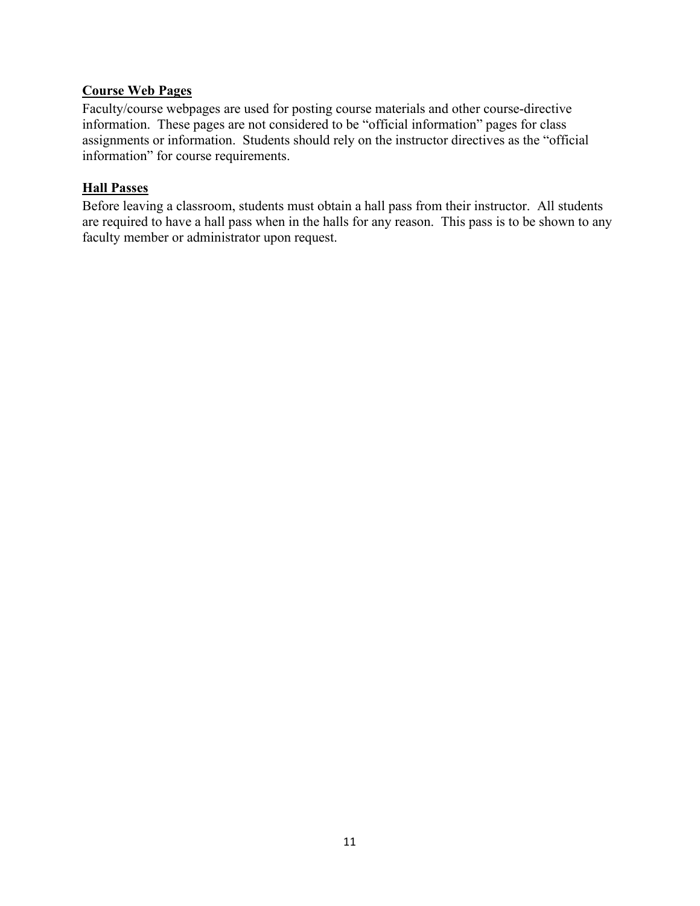#### <span id="page-10-0"></span>**Course Web Pages**

Faculty/course webpages are used for posting course materials and other course-directive information. These pages are not considered to be "official information" pages for class assignments or information. Students should rely on the instructor directives as the "official information" for course requirements.

#### <span id="page-10-1"></span>**Hall Passes**

<span id="page-10-2"></span>Before leaving a classroom, students must obtain a hall pass from their instructor. All students are required to have a hall pass when in the halls for any reason. This pass is to be shown to any faculty member or administrator upon request.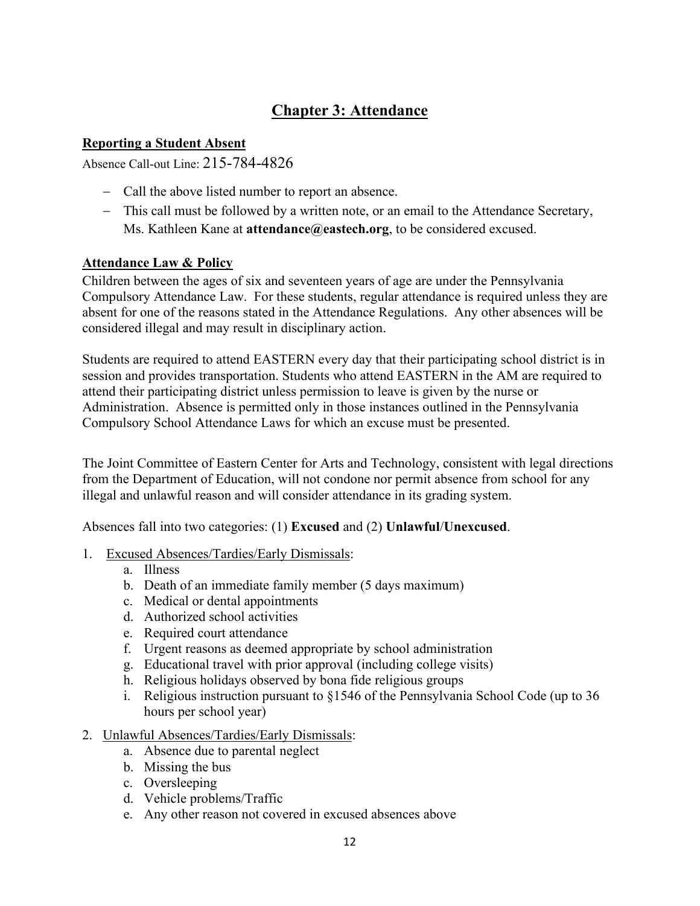## **Chapter 3: Attendance**

#### <span id="page-11-0"></span>**Reporting a Student Absent**

Absence Call-out Line: 215-784-4826

- − Call the above listed number to report an absence.
- − This call must be followed by a written note, or an email to the Attendance Secretary, Ms. Kathleen Kane at **attendance@eastech.org**, to be considered excused.

#### <span id="page-11-1"></span>**Attendance Law & Policy**

Children between the ages of six and seventeen years of age are under the Pennsylvania Compulsory Attendance Law. For these students, regular attendance is required unless they are absent for one of the reasons stated in the Attendance Regulations. Any other absences will be considered illegal and may result in disciplinary action.

Students are required to attend EASTERN every day that their participating school district is in session and provides transportation. Students who attend EASTERN in the AM are required to attend their participating district unless permission to leave is given by the nurse or Administration. Absence is permitted only in those instances outlined in the Pennsylvania Compulsory School Attendance Laws for which an excuse must be presented.

The Joint Committee of Eastern Center for Arts and Technology, consistent with legal directions from the Department of Education, will not condone nor permit absence from school for any illegal and unlawful reason and will consider attendance in its grading system.

Absences fall into two categories: (1) **Excused** and (2) **Unlawful**/**Unexcused**.

- 1. Excused Absences/Tardies/Early Dismissals:
	- a. Illness
	- b. Death of an immediate family member (5 days maximum)
	- c. Medical or dental appointments
	- d. Authorized school activities
	- e. Required court attendance
	- f. Urgent reasons as deemed appropriate by school administration
	- g. Educational travel with prior approval (including college visits)
	- h. Religious holidays observed by bona fide religious groups
	- i. Religious instruction pursuant to §1546 of the Pennsylvania School Code (up to 36 hours per school year)
- 2. Unlawful Absences/Tardies/Early Dismissals:
	- a. Absence due to parental neglect
	- b. Missing the bus
	- c. Oversleeping
	- d. Vehicle problems/Traffic
	- e. Any other reason not covered in excused absences above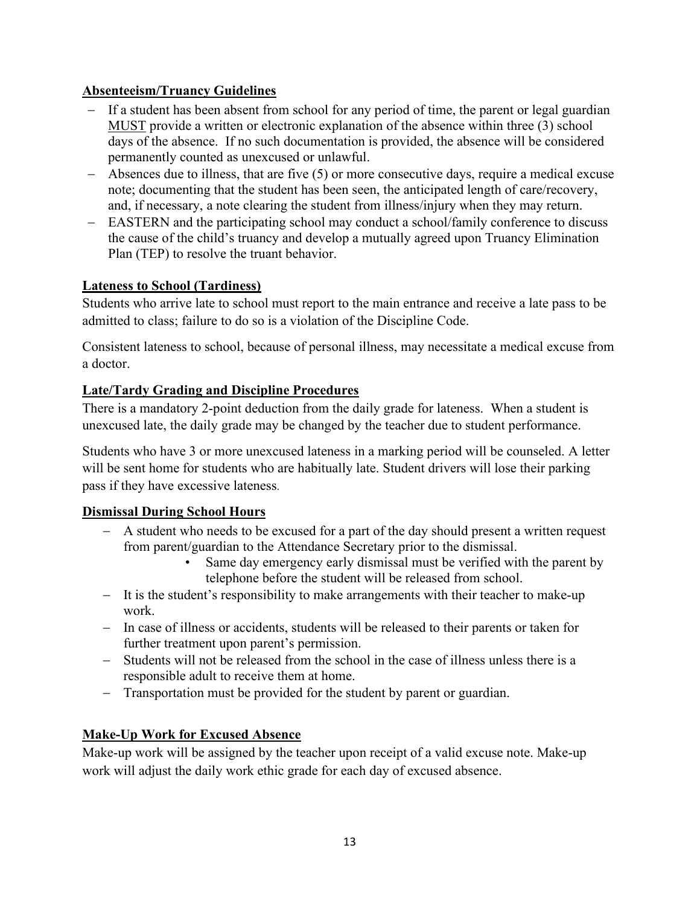## <span id="page-12-0"></span>**Absenteeism/Truancy Guidelines**

- − If a student has been absent from school for any period of time, the parent or legal guardian MUST provide a written or electronic explanation of the absence within three (3) school days of the absence. If no such documentation is provided, the absence will be considered permanently counted as unexcused or unlawful.
- − Absences due to illness, that are five (5) or more consecutive days, require a medical excuse note; documenting that the student has been seen, the anticipated length of care/recovery, and, if necessary, a note clearing the student from illness/injury when they may return.
- − EASTERN and the participating school may conduct a school/family conference to discuss the cause of the child's truancy and develop a mutually agreed upon Truancy Elimination Plan (TEP) to resolve the truant behavior.

## <span id="page-12-1"></span>**Lateness to School (Tardiness)**

Students who arrive late to school must report to the main entrance and receive a late pass to be admitted to class; failure to do so is a violation of the Discipline Code.

Consistent lateness to school, because of personal illness, may necessitate a medical excuse from a doctor.

## <span id="page-12-2"></span>**Late/Tardy Grading and Discipline Procedures**

There is a mandatory 2-point deduction from the daily grade for lateness. When a student is unexcused late, the daily grade may be changed by the teacher due to student performance.

Students who have 3 or more unexcused lateness in a marking period will be counseled. A letter will be sent home for students who are habitually late. Student drivers will lose their parking pass if they have excessive lateness.

#### <span id="page-12-3"></span>**Dismissal During School Hours**

- − A student who needs to be excused for a part of the day should present a written request from parent/guardian to the Attendance Secretary prior to the dismissal.
	- Same day emergency early dismissal must be verified with the parent by telephone before the student will be released from school.
- − It is the student's responsibility to make arrangements with their teacher to make-up work.
- − In case of illness or accidents, students will be released to their parents or taken for further treatment upon parent's permission.
- − Students will not be released from the school in the case of illness unless there is a responsible adult to receive them at home.
- − Transportation must be provided for the student by parent or guardian.

## <span id="page-12-4"></span>**Make-Up Work for Excused Absence**

Make-up work will be assigned by the teacher upon receipt of a valid excuse note. Make-up work will adjust the daily work ethic grade for each day of excused absence.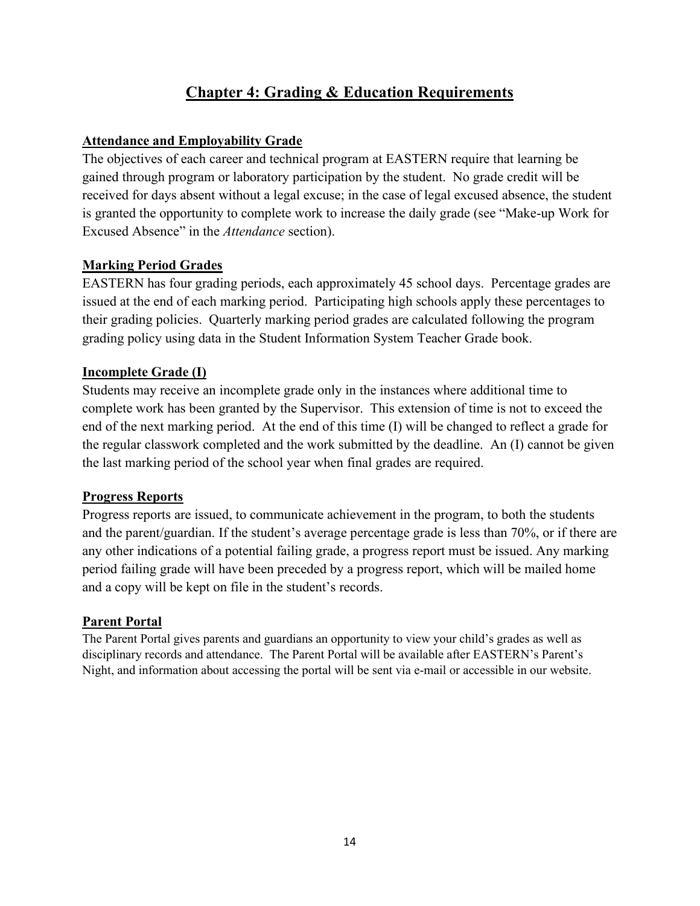## **Chapter 4: Grading & Education Requirements**

## <span id="page-13-1"></span><span id="page-13-0"></span>**Attendance and Employability Grade**

The objectives of each career and technical program at EASTERN require that learning be gained through program or laboratory participation by the student. No grade credit will be received for days absent without a legal excuse; in the case of legal excused absence, the student is granted the opportunity to complete work to increase the daily grade (see "Make-up Work for Excused Absence" in the *Attendance* section).

## <span id="page-13-2"></span>**Marking Period Grades**

EASTERN has four grading periods, each approximately 45 school days. Percentage grades are issued at the end of each marking period. Participating high schools apply these percentages to their grading policies. Quarterly marking period grades are calculated following the program grading policy using data in the Student Information System Teacher Grade book.

#### **Incomplete Grade (I)**

Students may receive an incomplete grade only in the instances where additional time to complete work has been granted by the Supervisor. This extension of time is not to exceed the end of the next marking period. At the end of this time (I) will be changed to reflect a grade for the regular classwork completed and the work submitted by the deadline. An (I) cannot be given the last marking period of the school year when final grades are required.

#### **Progress Reports**

Progress reports are issued, to communicate achievement in the program, to both the students and the parent/guardian. If the student's average percentage grade is less than 70%, or if there are any other indications of a potential failing grade, a progress report must be issued. Any marking period failing grade will have been preceded by a progress report, which will be mailed home and a copy will be kept on file in the student's records.

#### <span id="page-13-3"></span>**Parent Portal**

The Parent Portal gives parents and guardians an opportunity to view your child's grades as well as disciplinary records and attendance. The Parent Portal will be available after EASTERN's Parent's Night, and information about accessing the portal will be sent via e-mail or accessible in our website.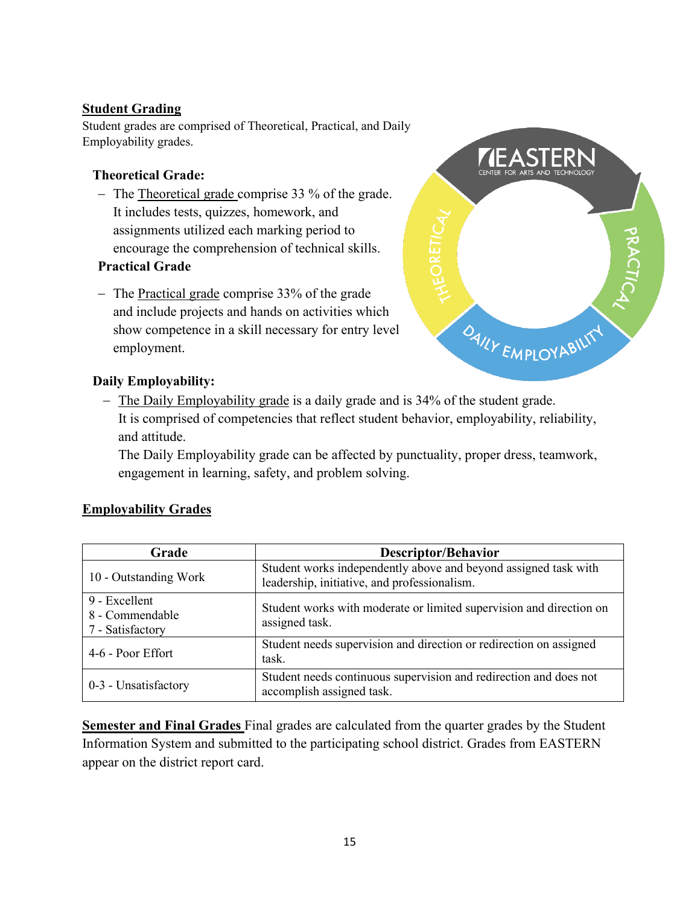## <span id="page-14-0"></span>**Student Grading**

Student grades are comprised of Theoretical, Practical, and Daily Employability grades.

#### **Theoretical Grade:**

− The Theoretical grade comprise 33 % of the grade. It includes tests, quizzes, homework, and assignments utilized each marking period to encourage the comprehension of technical skills.

## **Practical Grade**

− The Practical grade comprise 33% of the grade and include projects and hands on activities which show competence in a skill necessary for entry level employment.



## **Daily Employability:**

− The Daily Employability grade is a daily grade and is 34% of the student grade. It is comprised of competencies that reflect student behavior, employability, reliability, and attitude.

The Daily Employability grade can be affected by punctuality, proper dress, teamwork, engagement in learning, safety, and problem solving.

## <span id="page-14-1"></span>**Employability Grades**

| Grade                                                | Descriptor/Behavior                                                                                             |  |
|------------------------------------------------------|-----------------------------------------------------------------------------------------------------------------|--|
| 10 - Outstanding Work                                | Student works independently above and beyond assigned task with<br>leadership, initiative, and professionalism. |  |
| 9 - Excellent<br>8 - Commendable<br>7 - Satisfactory | Student works with moderate or limited supervision and direction on<br>assigned task.                           |  |
| 4-6 - Poor Effort                                    | Student needs supervision and direction or redirection on assigned<br>task.                                     |  |
| 0-3 - Unsatisfactory                                 | Student needs continuous supervision and redirection and does not<br>accomplish assigned task.                  |  |

**Semester and Final Grades** Final grades are calculated from the quarter grades by the Student Information System and submitted to the participating school district. Grades from EASTERN appear on the district report card.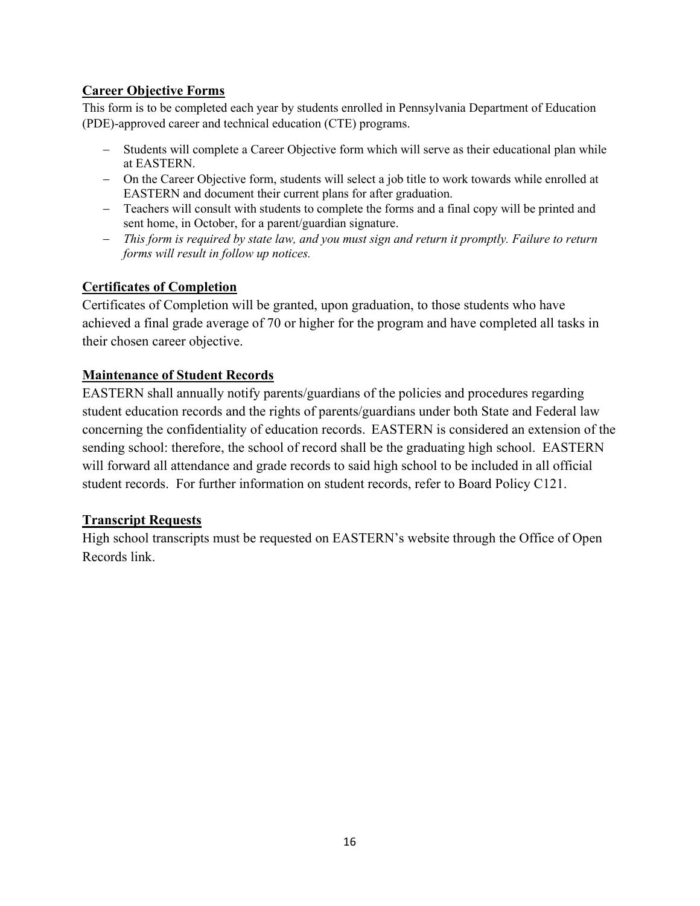## <span id="page-15-0"></span>**Career Objective Forms**

This form is to be completed each year by students enrolled in Pennsylvania Department of Education (PDE)-approved career and technical education (CTE) programs.

- − Students will complete a Career Objective form which will serve as their educational plan while at EASTERN.
- − On the Career Objective form, students will select a job title to work towards while enrolled at EASTERN and document their current plans for after graduation.
- − Teachers will consult with students to complete the forms and a final copy will be printed and sent home, in October, for a parent/guardian signature.
- − *This form is required by state law, and you must sign and return it promptly. Failure to return forms will result in follow up notices.*

## **Certificates of Completion**

Certificates of Completion will be granted, upon graduation, to those students who have achieved a final grade average of 70 or higher for the program and have completed all tasks in their chosen career objective.

## <span id="page-15-1"></span>**Maintenance of Student Records**

EASTERN shall annually notify parents/guardians of the policies and procedures regarding student education records and the rights of parents/guardians under both State and Federal law concerning the confidentiality of education records. EASTERN is considered an extension of the sending school: therefore, the school of record shall be the graduating high school. EASTERN will forward all attendance and grade records to said high school to be included in all official student records. For further information on student records, refer to Board Policy C121.

#### <span id="page-15-2"></span>**Transcript Requests**

High school transcripts must be requested on EASTERN's website through the Office of Open Records link.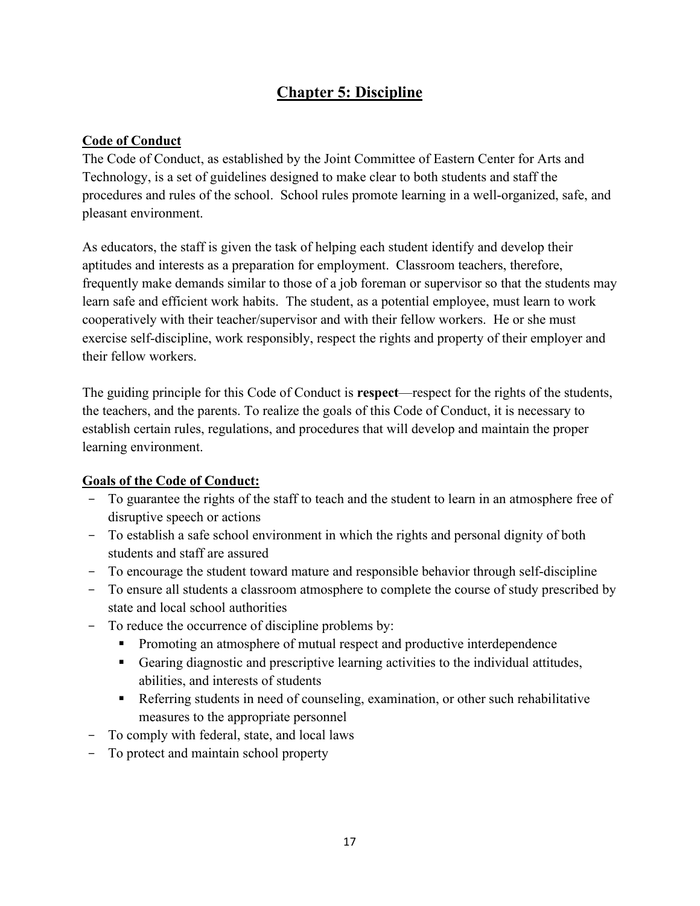## **Chapter 5: Discipline**

#### <span id="page-16-1"></span><span id="page-16-0"></span>**Code of Conduct**

The Code of Conduct, as established by the Joint Committee of Eastern Center for Arts and Technology, is a set of guidelines designed to make clear to both students and staff the procedures and rules of the school. School rules promote learning in a well-organized, safe, and pleasant environment.

As educators, the staff is given the task of helping each student identify and develop their aptitudes and interests as a preparation for employment. Classroom teachers, therefore, frequently make demands similar to those of a job foreman or supervisor so that the students may learn safe and efficient work habits. The student, as a potential employee, must learn to work cooperatively with their teacher/supervisor and with their fellow workers. He or she must exercise self-discipline, work responsibly, respect the rights and property of their employer and their fellow workers.

The guiding principle for this Code of Conduct is **respect**—respect for the rights of the students, the teachers, and the parents. To realize the goals of this Code of Conduct, it is necessary to establish certain rules, regulations, and procedures that will develop and maintain the proper learning environment.

#### **Goals of the Code of Conduct:**

- To guarantee the rights of the staff to teach and the student to learn in an atmosphere free of disruptive speech or actions
- To establish a safe school environment in which the rights and personal dignity of both students and staff are assured
- To encourage the student toward mature and responsible behavior through self-discipline
- To ensure all students a classroom atmosphere to complete the course of study prescribed by state and local school authorities
- To reduce the occurrence of discipline problems by:
	- Promoting an atmosphere of mutual respect and productive interdependence
	- Gearing diagnostic and prescriptive learning activities to the individual attitudes, abilities, and interests of students
	- Referring students in need of counseling, examination, or other such rehabilitative measures to the appropriate personnel
- To comply with federal, state, and local laws
- To protect and maintain school property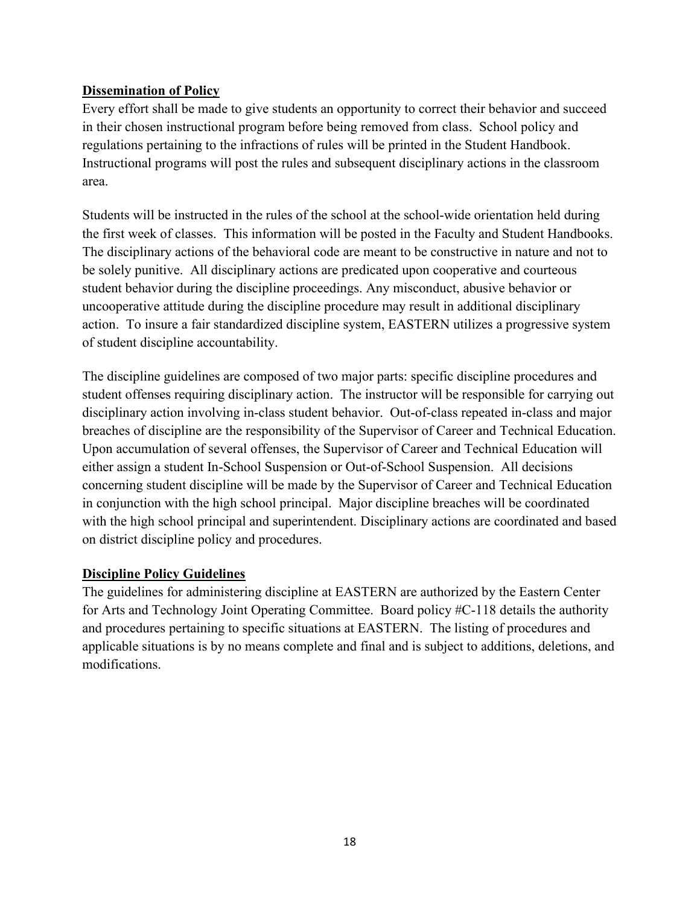## **Dissemination of Policy**

Every effort shall be made to give students an opportunity to correct their behavior and succeed in their chosen instructional program before being removed from class. School policy and regulations pertaining to the infractions of rules will be printed in the Student Handbook. Instructional programs will post the rules and subsequent disciplinary actions in the classroom area.

Students will be instructed in the rules of the school at the school-wide orientation held during the first week of classes. This information will be posted in the Faculty and Student Handbooks. The disciplinary actions of the behavioral code are meant to be constructive in nature and not to be solely punitive. All disciplinary actions are predicated upon cooperative and courteous student behavior during the discipline proceedings. Any misconduct, abusive behavior or uncooperative attitude during the discipline procedure may result in additional disciplinary action. To insure a fair standardized discipline system, EASTERN utilizes a progressive system of student discipline accountability.

The discipline guidelines are composed of two major parts: specific discipline procedures and student offenses requiring disciplinary action. The instructor will be responsible for carrying out disciplinary action involving in-class student behavior. Out-of-class repeated in-class and major breaches of discipline are the responsibility of the Supervisor of Career and Technical Education. Upon accumulation of several offenses, the Supervisor of Career and Technical Education will either assign a student In-School Suspension or Out-of-School Suspension. All decisions concerning student discipline will be made by the Supervisor of Career and Technical Education in conjunction with the high school principal. Major discipline breaches will be coordinated with the high school principal and superintendent. Disciplinary actions are coordinated and based on district discipline policy and procedures.

#### **Discipline Policy Guidelines**

The guidelines for administering discipline at EASTERN are authorized by the Eastern Center for Arts and Technology Joint Operating Committee. Board policy #C-118 details the authority and procedures pertaining to specific situations at EASTERN. The listing of procedures and applicable situations is by no means complete and final and is subject to additions, deletions, and modifications.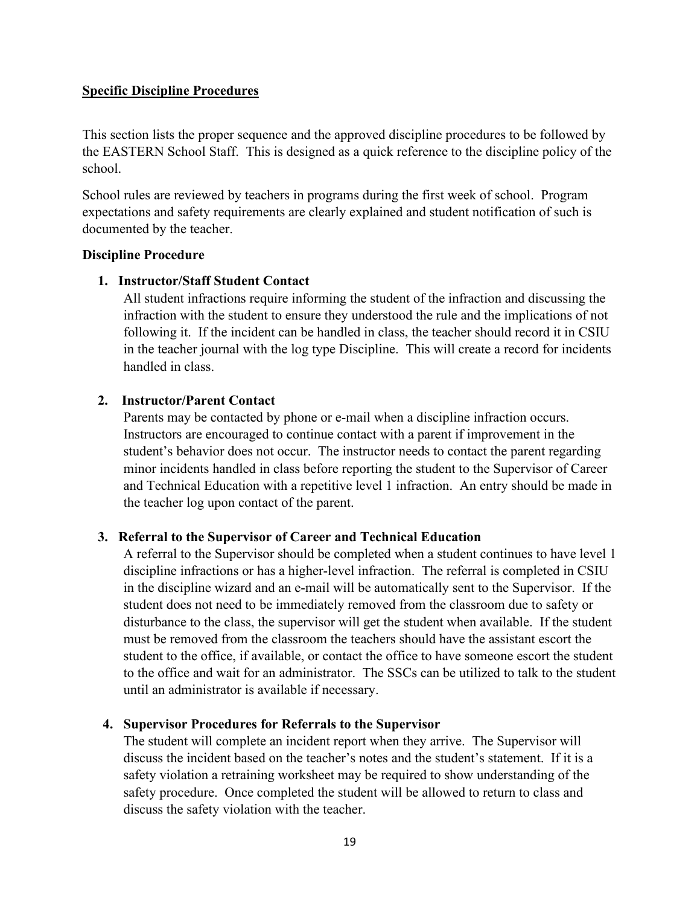#### <span id="page-18-0"></span>**Specific Discipline Procedures**

This section lists the proper sequence and the approved discipline procedures to be followed by the EASTERN School Staff. This is designed as a quick reference to the discipline policy of the school.

School rules are reviewed by teachers in programs during the first week of school. Program expectations and safety requirements are clearly explained and student notification of such is documented by the teacher.

#### **Discipline Procedure**

#### **1. Instructor/Staff Student Contact**

All student infractions require informing the student of the infraction and discussing the infraction with the student to ensure they understood the rule and the implications of not following it. If the incident can be handled in class, the teacher should record it in CSIU in the teacher journal with the log type Discipline. This will create a record for incidents handled in class.

#### **2. Instructor/Parent Contact**

Parents may be contacted by phone or e-mail when a discipline infraction occurs. Instructors are encouraged to continue contact with a parent if improvement in the student's behavior does not occur. The instructor needs to contact the parent regarding minor incidents handled in class before reporting the student to the Supervisor of Career and Technical Education with a repetitive level 1 infraction. An entry should be made in the teacher log upon contact of the parent.

#### **3. Referral to the Supervisor of Career and Technical Education**

A referral to the Supervisor should be completed when a student continues to have level 1 discipline infractions or has a higher-level infraction. The referral is completed in CSIU in the discipline wizard and an e-mail will be automatically sent to the Supervisor. If the student does not need to be immediately removed from the classroom due to safety or disturbance to the class, the supervisor will get the student when available. If the student must be removed from the classroom the teachers should have the assistant escort the student to the office, if available, or contact the office to have someone escort the student to the office and wait for an administrator. The SSCs can be utilized to talk to the student until an administrator is available if necessary.

#### **4. Supervisor Procedures for Referrals to the Supervisor**

The student will complete an incident report when they arrive. The Supervisor will discuss the incident based on the teacher's notes and the student's statement. If it is a safety violation a retraining worksheet may be required to show understanding of the safety procedure. Once completed the student will be allowed to return to class and discuss the safety violation with the teacher.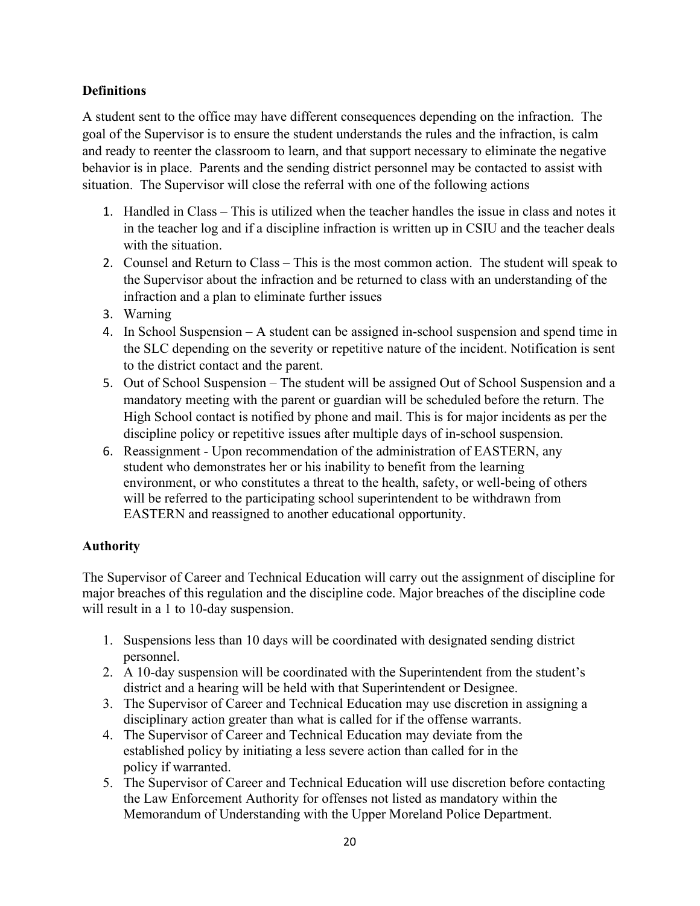## **Definitions**

A student sent to the office may have different consequences depending on the infraction. The goal of the Supervisor is to ensure the student understands the rules and the infraction, is calm and ready to reenter the classroom to learn, and that support necessary to eliminate the negative behavior is in place. Parents and the sending district personnel may be contacted to assist with situation. The Supervisor will close the referral with one of the following actions

- 1. Handled in Class This is utilized when the teacher handles the issue in class and notes it in the teacher log and if a discipline infraction is written up in CSIU and the teacher deals with the situation.
- 2. Counsel and Return to Class This is the most common action. The student will speak to the Supervisor about the infraction and be returned to class with an understanding of the infraction and a plan to eliminate further issues
- 3. Warning
- 4. In School Suspension A student can be assigned in-school suspension and spend time in the SLC depending on the severity or repetitive nature of the incident. Notification is sent to the district contact and the parent.
- 5. Out of School Suspension The student will be assigned Out of School Suspension and a mandatory meeting with the parent or guardian will be scheduled before the return. The High School contact is notified by phone and mail. This is for major incidents as per the discipline policy or repetitive issues after multiple days of in-school suspension.
- 6. Reassignment Upon recommendation of the administration of EASTERN, any student who demonstrates her or his inability to benefit from the learning environment, or who constitutes a threat to the health, safety, or well-being of others will be referred to the participating school superintendent to be withdrawn from EASTERN and reassigned to another educational opportunity.

#### **Authority**

The Supervisor of Career and Technical Education will carry out the assignment of discipline for major breaches of this regulation and the discipline code. Major breaches of the discipline code will result in a 1 to 10-day suspension.

- 1. Suspensions less than 10 days will be coordinated with designated sending district personnel.
- 2. A 10-day suspension will be coordinated with the Superintendent from the student's district and a hearing will be held with that Superintendent or Designee.
- 3. The Supervisor of Career and Technical Education may use discretion in assigning a disciplinary action greater than what is called for if the offense warrants.
- 4. The Supervisor of Career and Technical Education may deviate from the established policy by initiating a less severe action than called for in the policy if warranted.
- 5. The Supervisor of Career and Technical Education will use discretion before contacting the Law Enforcement Authority for offenses not listed as mandatory within the Memorandum of Understanding with the Upper Moreland Police Department.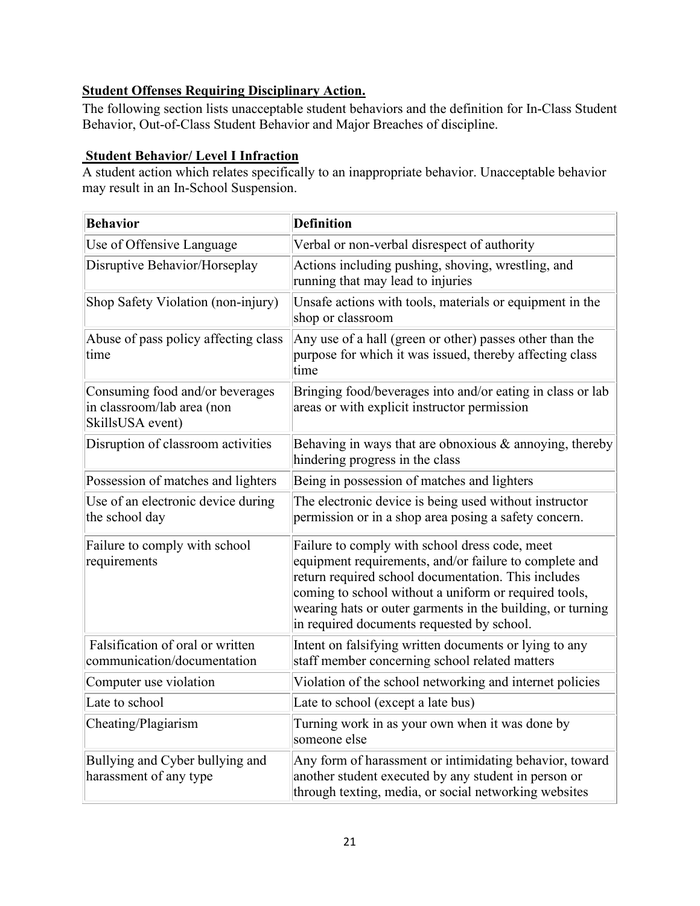## <span id="page-20-0"></span>**Student Offenses Requiring Disciplinary Action.**

The following section lists unacceptable student behaviors and the definition for In-Class Student Behavior, Out-of-Class Student Behavior and Major Breaches of discipline.

## **Student Behavior/ Level I Infraction**

A student action which relates specifically to an inappropriate behavior. Unacceptable behavior may result in an In-School Suspension.

| <b>Behavior</b>                                                                   | <b>Definition</b>                                                                                                                                                                                                                                                                                                                    |
|-----------------------------------------------------------------------------------|--------------------------------------------------------------------------------------------------------------------------------------------------------------------------------------------------------------------------------------------------------------------------------------------------------------------------------------|
| Use of Offensive Language                                                         | Verbal or non-verbal disrespect of authority                                                                                                                                                                                                                                                                                         |
| Disruptive Behavior/Horseplay                                                     | Actions including pushing, shoving, wrestling, and<br>running that may lead to injuries                                                                                                                                                                                                                                              |
| Shop Safety Violation (non-injury)                                                | Unsafe actions with tools, materials or equipment in the<br>shop or classroom                                                                                                                                                                                                                                                        |
| Abuse of pass policy affecting class<br>time                                      | Any use of a hall (green or other) passes other than the<br>purpose for which it was issued, thereby affecting class<br>time                                                                                                                                                                                                         |
| Consuming food and/or beverages<br>in classroom/lab area (non<br>SkillsUSA event) | Bringing food/beverages into and/or eating in class or lab<br>areas or with explicit instructor permission                                                                                                                                                                                                                           |
| Disruption of classroom activities                                                | Behaving in ways that are obnoxious $\&$ annoying, thereby<br>hindering progress in the class                                                                                                                                                                                                                                        |
| Possession of matches and lighters                                                | Being in possession of matches and lighters                                                                                                                                                                                                                                                                                          |
| Use of an electronic device during<br>the school day                              | The electronic device is being used without instructor<br>permission or in a shop area posing a safety concern.                                                                                                                                                                                                                      |
| Failure to comply with school<br>requirements                                     | Failure to comply with school dress code, meet<br>equipment requirements, and/or failure to complete and<br>return required school documentation. This includes<br>coming to school without a uniform or required tools,<br>wearing hats or outer garments in the building, or turning<br>in required documents requested by school. |
| Falsification of oral or written<br>communication/documentation                   | Intent on falsifying written documents or lying to any<br>staff member concerning school related matters                                                                                                                                                                                                                             |
| Computer use violation                                                            | Violation of the school networking and internet policies                                                                                                                                                                                                                                                                             |
| Late to school                                                                    | Late to school (except a late bus)                                                                                                                                                                                                                                                                                                   |
| Cheating/Plagiarism                                                               | Turning work in as your own when it was done by<br>someone else                                                                                                                                                                                                                                                                      |
| Bullying and Cyber bullying and<br>harassment of any type                         | Any form of harassment or intimidating behavior, toward<br>another student executed by any student in person or<br>through texting, media, or social networking websites                                                                                                                                                             |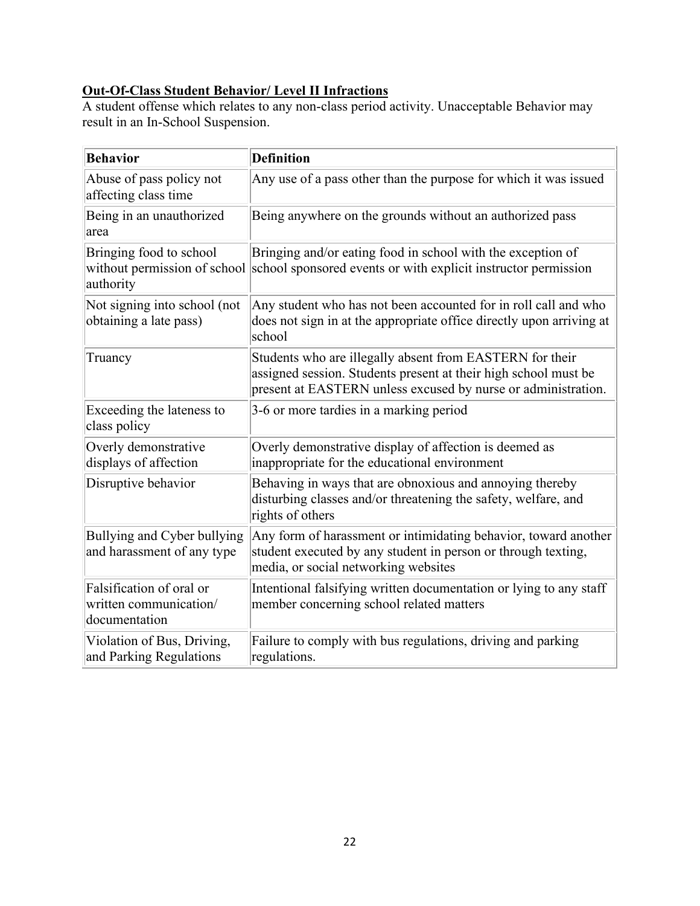## **Out-Of-Class Student Behavior/ Level II Infractions**

A student offense which relates to any non-class period activity. Unacceptable Behavior may result in an In-School Suspension.

| <b>Behavior</b>                                                     | <b>Definition</b>                                                                                                                                                                            |
|---------------------------------------------------------------------|----------------------------------------------------------------------------------------------------------------------------------------------------------------------------------------------|
| Abuse of pass policy not<br>affecting class time                    | Any use of a pass other than the purpose for which it was issued                                                                                                                             |
| Being in an unauthorized<br>area                                    | Being anywhere on the grounds without an authorized pass                                                                                                                                     |
| Bringing food to school<br>authority                                | Bringing and/or eating food in school with the exception of<br>without permission of school school sponsored events or with explicit instructor permission                                   |
| Not signing into school (not<br>obtaining a late pass)              | Any student who has not been accounted for in roll call and who<br>does not sign in at the appropriate office directly upon arriving at<br>school                                            |
| Truancy                                                             | Students who are illegally absent from EASTERN for their<br>assigned session. Students present at their high school must be<br>present at EASTERN unless excused by nurse or administration. |
| Exceeding the lateness to<br>class policy                           | 3-6 or more tardies in a marking period                                                                                                                                                      |
| Overly demonstrative<br>displays of affection                       | Overly demonstrative display of affection is deemed as<br>inappropriate for the educational environment                                                                                      |
| Disruptive behavior                                                 | Behaving in ways that are obnoxious and annoying thereby<br>disturbing classes and/or threatening the safety, welfare, and<br>rights of others                                               |
| Bullying and Cyber bullying<br>and harassment of any type           | Any form of harassment or intimidating behavior, toward another<br>student executed by any student in person or through texting,<br>media, or social networking websites                     |
| Falsification of oral or<br>written communication/<br>documentation | Intentional falsifying written documentation or lying to any staff<br>member concerning school related matters                                                                               |
| Violation of Bus, Driving,<br>and Parking Regulations               | Failure to comply with bus regulations, driving and parking<br>regulations.                                                                                                                  |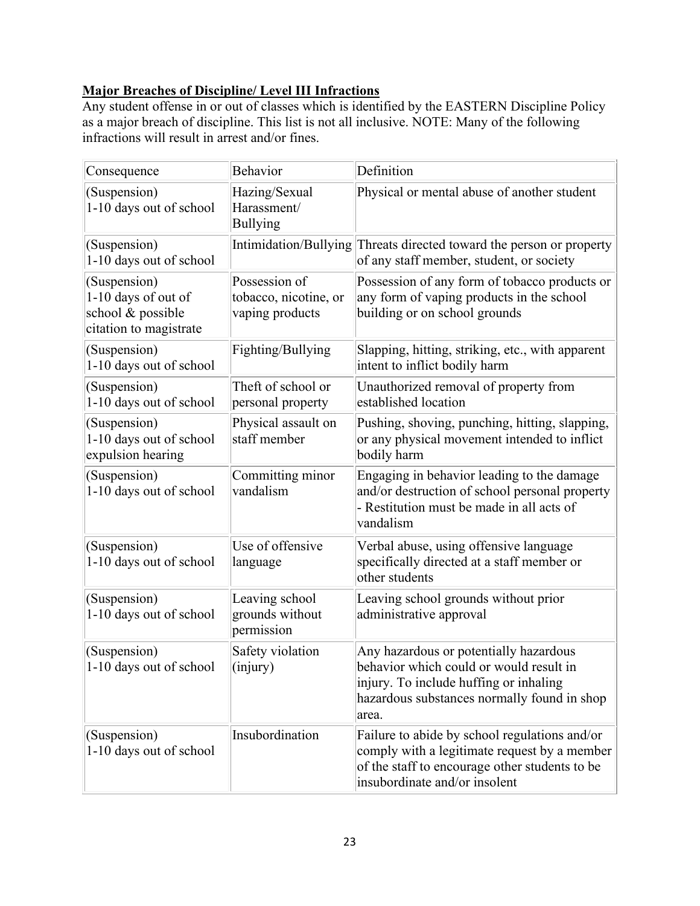## **Major Breaches of Discipline/ Level III Infractions**

Any student offense in or out of classes which is identified by the EASTERN Discipline Policy as a major breach of discipline. This list is not all inclusive. NOTE: Many of the following infractions will result in arrest and/or fines.

| Consequence                                                                        | <b>Behavior</b>                                           | Definition                                                                                                                                                                          |
|------------------------------------------------------------------------------------|-----------------------------------------------------------|-------------------------------------------------------------------------------------------------------------------------------------------------------------------------------------|
| (Suspension)<br>1-10 days out of school                                            | Hazing/Sexual<br>Harassment/<br><b>Bullying</b>           | Physical or mental abuse of another student                                                                                                                                         |
| (Suspension)<br>1-10 days out of school                                            |                                                           | Intimidation/Bullying Threats directed toward the person or property<br>of any staff member, student, or society                                                                    |
| (Suspension)<br>1-10 days of out of<br>school & possible<br>citation to magistrate | Possession of<br>tobacco, nicotine, or<br>vaping products | Possession of any form of tobacco products or<br>any form of vaping products in the school<br>building or on school grounds                                                         |
| (Suspension)<br>1-10 days out of school                                            | Fighting/Bullying                                         | Slapping, hitting, striking, etc., with apparent<br>intent to inflict bodily harm                                                                                                   |
| (Suspension)<br>1-10 days out of school                                            | Theft of school or<br>personal property                   | Unauthorized removal of property from<br>established location                                                                                                                       |
| (Suspension)<br>1-10 days out of school<br>expulsion hearing                       | Physical assault on<br>staff member                       | Pushing, shoving, punching, hitting, slapping,<br>or any physical movement intended to inflict<br>bodily harm                                                                       |
| (Suspension)<br>1-10 days out of school                                            | Committing minor<br>vandalism                             | Engaging in behavior leading to the damage<br>and/or destruction of school personal property<br>- Restitution must be made in all acts of<br>vandalism                              |
| (Suspension)<br>1-10 days out of school                                            | Use of offensive<br>language                              | Verbal abuse, using offensive language<br>specifically directed at a staff member or<br>other students                                                                              |
| (Suspension)<br>1-10 days out of school                                            | Leaving school<br>grounds without<br>permission           | Leaving school grounds without prior<br>administrative approval                                                                                                                     |
| (Suspension)<br>1-10 days out of school                                            | Safety violation<br>(iniury)                              | Any hazardous or potentially hazardous<br>behavior which could or would result in<br>injury. To include huffing or inhaling<br>hazardous substances normally found in shop<br>area. |
| (Suspension)<br>1-10 days out of school                                            | Insubordination                                           | Failure to abide by school regulations and/or<br>comply with a legitimate request by a member<br>of the staff to encourage other students to be<br>insubordinate and/or insolent    |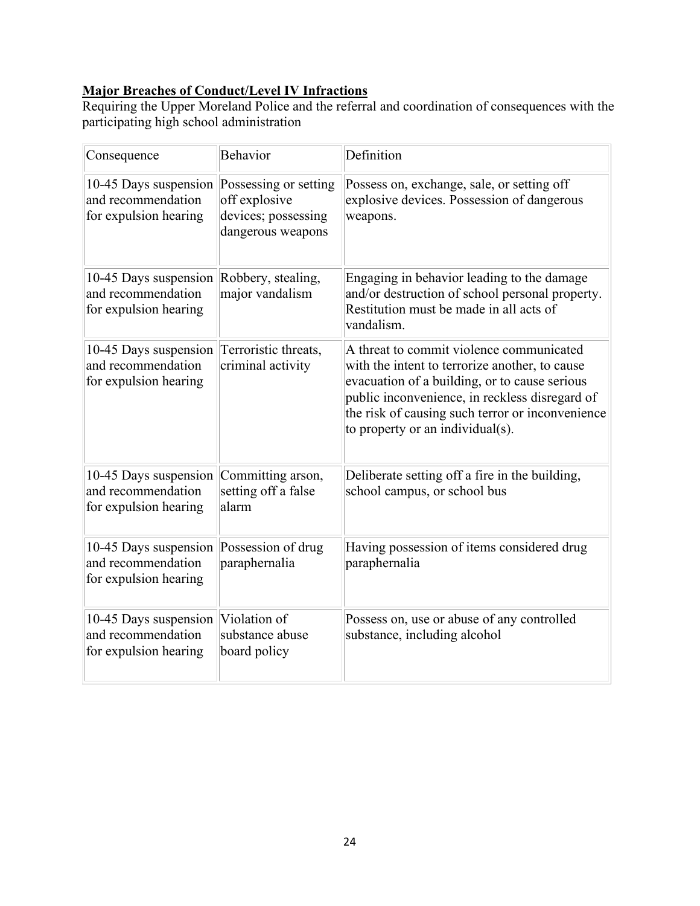## **Major Breaches of Conduct/Level IV Infractions**

Requiring the Upper Moreland Police and the referral and coordination of consequences with the participating high school administration

| Consequence                                                                                | <b>Behavior</b>                                           | Definition                                                                                                                                                                                                                                                                            |
|--------------------------------------------------------------------------------------------|-----------------------------------------------------------|---------------------------------------------------------------------------------------------------------------------------------------------------------------------------------------------------------------------------------------------------------------------------------------|
| 10-45 Days suspension Possessing or setting<br>and recommendation<br>for expulsion hearing | off explosive<br>devices; possessing<br>dangerous weapons | Possess on, exchange, sale, or setting off<br>explosive devices. Possession of dangerous<br>weapons.                                                                                                                                                                                  |
| 10-45 Days suspension Robbery, stealing,<br>and recommendation<br>for expulsion hearing    | major vandalism                                           | Engaging in behavior leading to the damage<br>and/or destruction of school personal property.<br>Restitution must be made in all acts of<br>vandalism.                                                                                                                                |
| 10-45 Days suspension<br>and recommendation<br>for expulsion hearing                       | Terroristic threats,<br>criminal activity                 | A threat to commit violence communicated<br>with the intent to terrorize another, to cause<br>evacuation of a building, or to cause serious<br>public inconvenience, in reckless disregard of<br>the risk of causing such terror or inconvenience<br>to property or an individual(s). |
| 10-45 Days suspension<br>and recommendation<br>for expulsion hearing                       | Committing arson,<br>setting off a false<br>alarm         | Deliberate setting off a fire in the building,<br>school campus, or school bus                                                                                                                                                                                                        |
| 10-45 Days suspension<br>and recommendation<br>for expulsion hearing                       | Possession of drug<br>paraphernalia                       | Having possession of items considered drug<br>paraphernalia                                                                                                                                                                                                                           |
| 10-45 Days suspension<br>and recommendation<br>for expulsion hearing                       | Violation of<br>substance abuse<br>board policy           | Possess on, use or abuse of any controlled<br>substance, including alcohol                                                                                                                                                                                                            |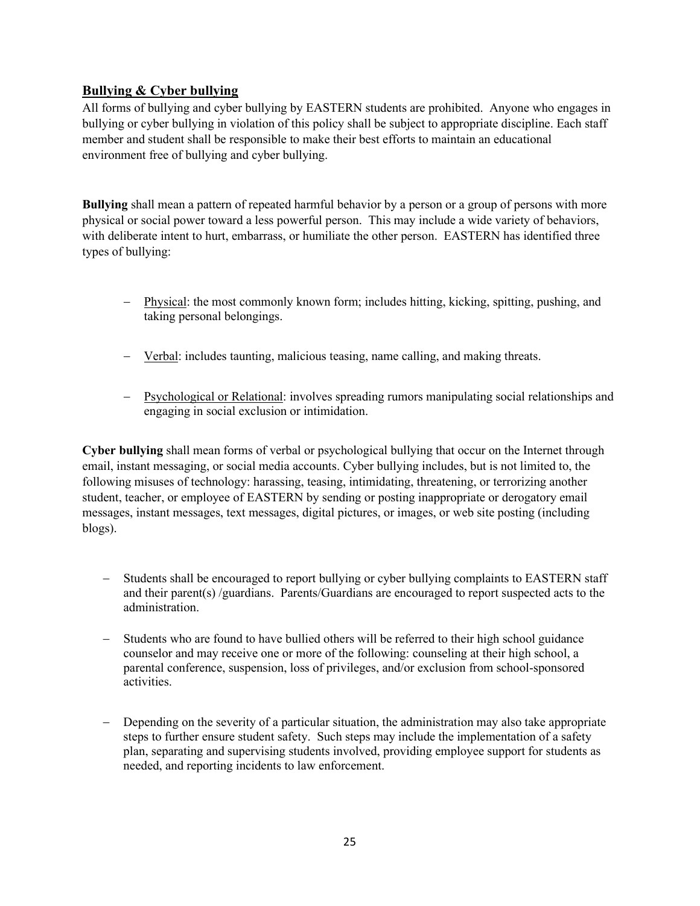#### <span id="page-24-0"></span>**Bullying & Cyber bullying**

All forms of bullying and cyber bullying by EASTERN students are prohibited. Anyone who engages in bullying or cyber bullying in violation of this policy shall be subject to appropriate discipline. Each staff member and student shall be responsible to make their best efforts to maintain an educational environment free of bullying and cyber bullying.

**Bullying** shall mean a pattern of repeated harmful behavior by a person or a group of persons with more physical or social power toward a less powerful person. This may include a wide variety of behaviors, with deliberate intent to hurt, embarrass, or humiliate the other person. EASTERN has identified three types of bullying:

- − Physical: the most commonly known form; includes hitting, kicking, spitting, pushing, and taking personal belongings.
- − Verbal: includes taunting, malicious teasing, name calling, and making threats.
- − Psychological or Relational: involves spreading rumors manipulating social relationships and engaging in social exclusion or intimidation.

**Cyber bullying** shall mean forms of verbal or psychological bullying that occur on the Internet through email, instant messaging, or social media accounts. Cyber bullying includes, but is not limited to, the following misuses of technology: harassing, teasing, intimidating, threatening, or terrorizing another student, teacher, or employee of EASTERN by sending or posting inappropriate or derogatory email messages, instant messages, text messages, digital pictures, or images, or web site posting (including blogs).

- Students shall be encouraged to report bullying or cyber bullying complaints to EASTERN staff and their parent(s) /guardians. Parents/Guardians are encouraged to report suspected acts to the administration.
- Students who are found to have bullied others will be referred to their high school guidance counselor and may receive one or more of the following: counseling at their high school, a parental conference, suspension, loss of privileges, and/or exclusion from school-sponsored activities.
- Depending on the severity of a particular situation, the administration may also take appropriate steps to further ensure student safety. Such steps may include the implementation of a safety plan, separating and supervising students involved, providing employee support for students as needed, and reporting incidents to law enforcement.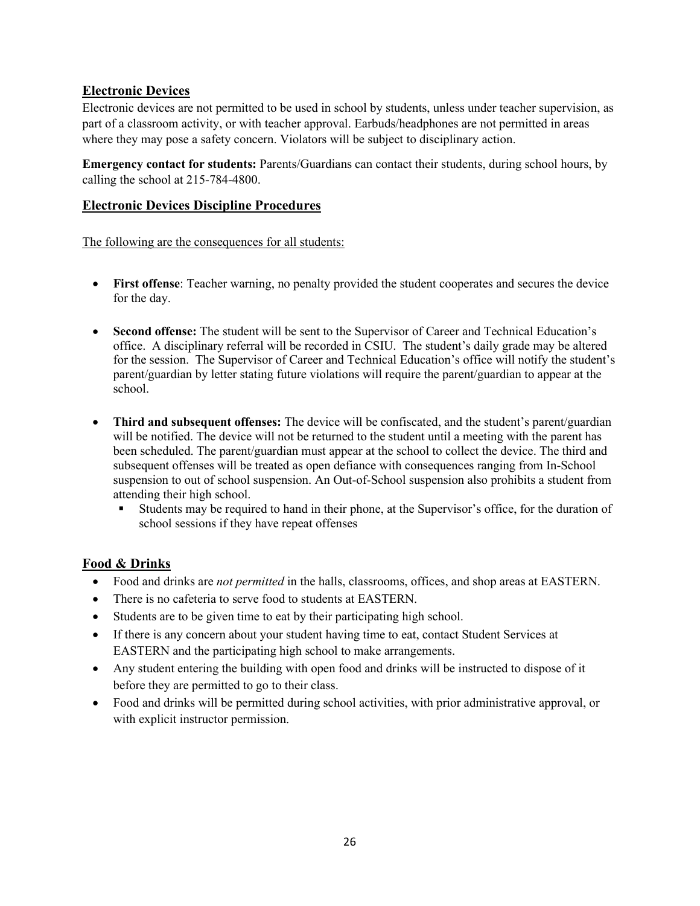## <span id="page-25-0"></span>**Electronic Devices**

Electronic devices are not permitted to be used in school by students, unless under teacher supervision, as part of a classroom activity, or with teacher approval. Earbuds/headphones are not permitted in areas where they may pose a safety concern. Violators will be subject to disciplinary action.

**Emergency contact for students:** Parents/Guardians can contact their students, during school hours, by calling the school at 215-784-4800.

#### <span id="page-25-1"></span>**Electronic Devices Discipline Procedures**

The following are the consequences for all students:

- **First offense**: Teacher warning, no penalty provided the student cooperates and secures the device for the day.
- **Second offense:** The student will be sent to the Supervisor of Career and Technical Education's office. A disciplinary referral will be recorded in CSIU. The student's daily grade may be altered for the session. The Supervisor of Career and Technical Education's office will notify the student's parent/guardian by letter stating future violations will require the parent/guardian to appear at the school.
- **Third and subsequent offenses:** The device will be confiscated, and the student's parent/guardian will be notified. The device will not be returned to the student until a meeting with the parent has been scheduled. The parent/guardian must appear at the school to collect the device. The third and subsequent offenses will be treated as open defiance with consequences ranging from In-School suspension to out of school suspension. An Out-of-School suspension also prohibits a student from attending their high school.
	- Students may be required to hand in their phone, at the Supervisor's office, for the duration of school sessions if they have repeat offenses

#### <span id="page-25-2"></span>**Food & Drinks**

- Food and drinks are *not permitted* in the halls, classrooms, offices, and shop areas at EASTERN.
- There is no cafeteria to serve food to students at EASTERN.
- Students are to be given time to eat by their participating high school.
- If there is any concern about your student having time to eat, contact Student Services at EASTERN and the participating high school to make arrangements.
- Any student entering the building with open food and drinks will be instructed to dispose of it before they are permitted to go to their class.
- Food and drinks will be permitted during school activities, with prior administrative approval, or with explicit instructor permission.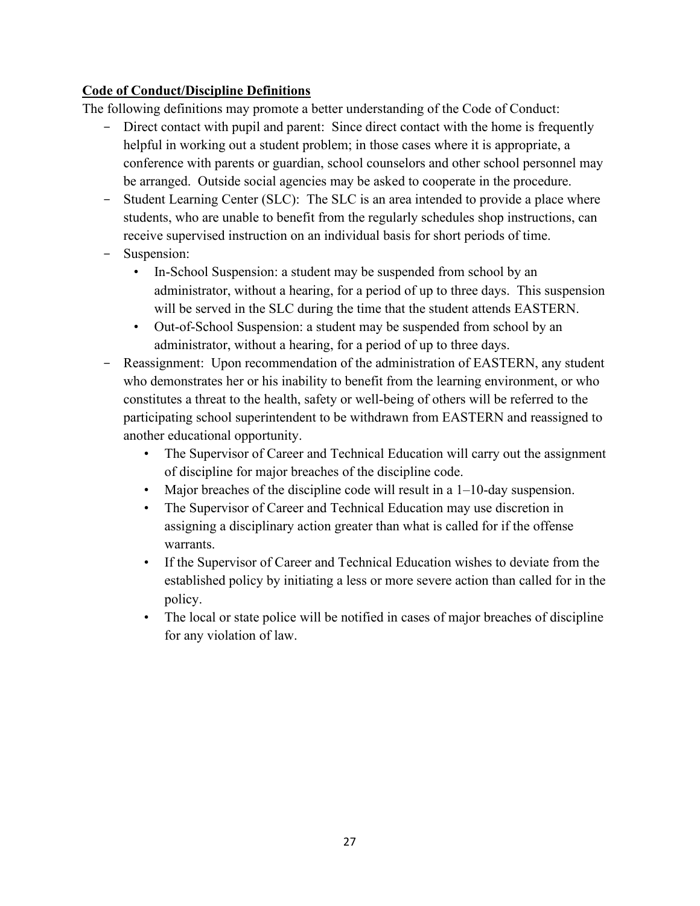## <span id="page-26-0"></span>**Code of Conduct/Discipline Definitions**

The following definitions may promote a better understanding of the Code of Conduct:

- Direct contact with pupil and parent: Since direct contact with the home is frequently helpful in working out a student problem; in those cases where it is appropriate, a conference with parents or guardian, school counselors and other school personnel may be arranged. Outside social agencies may be asked to cooperate in the procedure.
- Student Learning Center (SLC): The SLC is an area intended to provide a place where students, who are unable to benefit from the regularly schedules shop instructions, can receive supervised instruction on an individual basis for short periods of time.
- Suspension:
	- In-School Suspension: a student may be suspended from school by an administrator, without a hearing, for a period of up to three days. This suspension will be served in the SLC during the time that the student attends EASTERN.
	- Out-of-School Suspension: a student may be suspended from school by an administrator, without a hearing, for a period of up to three days.
- Reassignment: Upon recommendation of the administration of EASTERN, any student who demonstrates her or his inability to benefit from the learning environment, or who constitutes a threat to the health, safety or well-being of others will be referred to the participating school superintendent to be withdrawn from EASTERN and reassigned to another educational opportunity.
	- The Supervisor of Career and Technical Education will carry out the assignment of discipline for major breaches of the discipline code.
	- Major breaches of the discipline code will result in a 1–10-day suspension.
	- The Supervisor of Career and Technical Education may use discretion in assigning a disciplinary action greater than what is called for if the offense warrants.
	- If the Supervisor of Career and Technical Education wishes to deviate from the established policy by initiating a less or more severe action than called for in the policy.
	- The local or state police will be notified in cases of major breaches of discipline for any violation of law.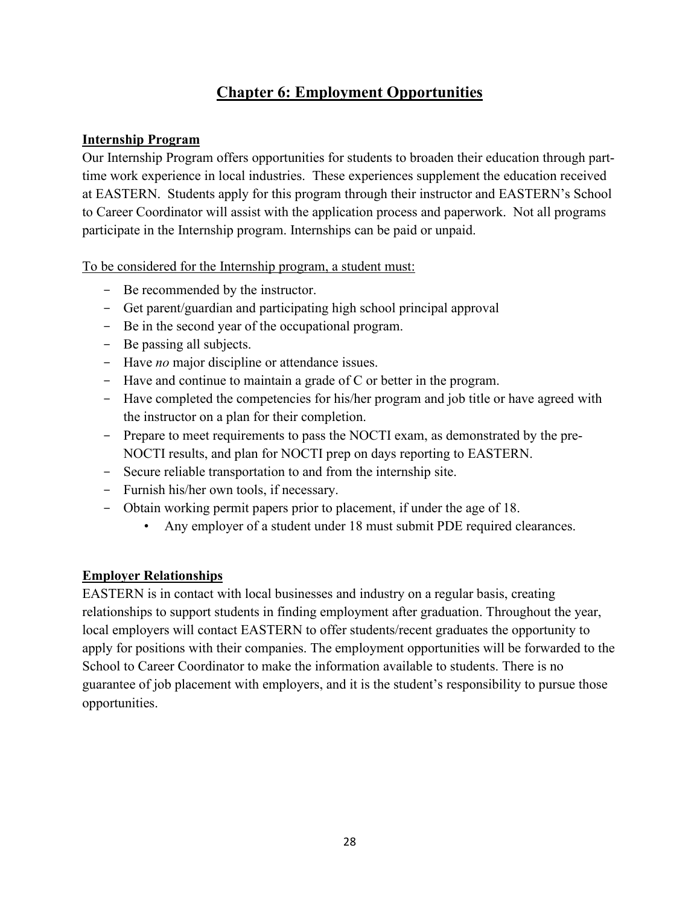## **Chapter 6: Employment Opportunities**

#### <span id="page-27-1"></span><span id="page-27-0"></span>**Internship Program**

Our Internship Program offers opportunities for students to broaden their education through parttime work experience in local industries. These experiences supplement the education received at EASTERN. Students apply for this program through their instructor and EASTERN's School to Career Coordinator will assist with the application process and paperwork. Not all programs participate in the Internship program. Internships can be paid or unpaid.

To be considered for the Internship program, a student must:

- Be recommended by the instructor.
- Get parent/guardian and participating high school principal approval
- Be in the second year of the occupational program.
- Be passing all subjects.
- Have *no* major discipline or attendance issues.
- $-$  Have and continue to maintain a grade of C or better in the program.
- Have completed the competencies for his/her program and job title or have agreed with the instructor on a plan for their completion.
- Prepare to meet requirements to pass the NOCTI exam, as demonstrated by the pre-NOCTI results, and plan for NOCTI prep on days reporting to EASTERN.
- Secure reliable transportation to and from the internship site.
- Furnish his/her own tools, if necessary.
- Obtain working permit papers prior to placement, if under the age of 18.
	- Any employer of a student under 18 must submit PDE required clearances.

## <span id="page-27-2"></span>**Employer Relationships**

EASTERN is in contact with local businesses and industry on a regular basis, creating relationships to support students in finding employment after graduation. Throughout the year, local employers will contact EASTERN to offer students/recent graduates the opportunity to apply for positions with their companies. The employment opportunities will be forwarded to the School to Career Coordinator to make the information available to students. There is no guarantee of job placement with employers, and it is the student's responsibility to pursue those opportunities.